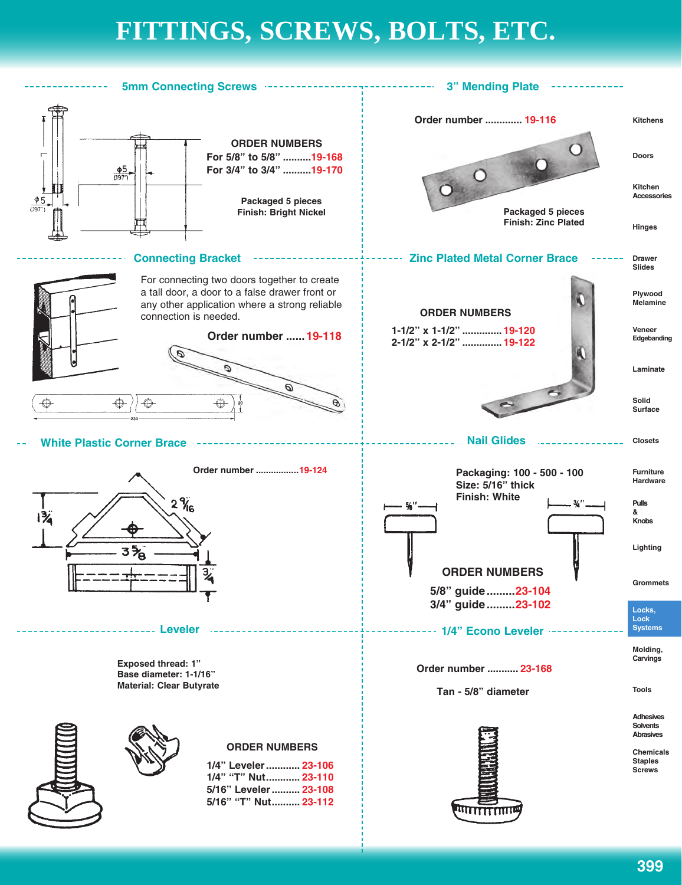## **FITTINGS, SCREWS, BOLTS, ETC. FITTINGS, SCREWS, BOLTS, ETC.**

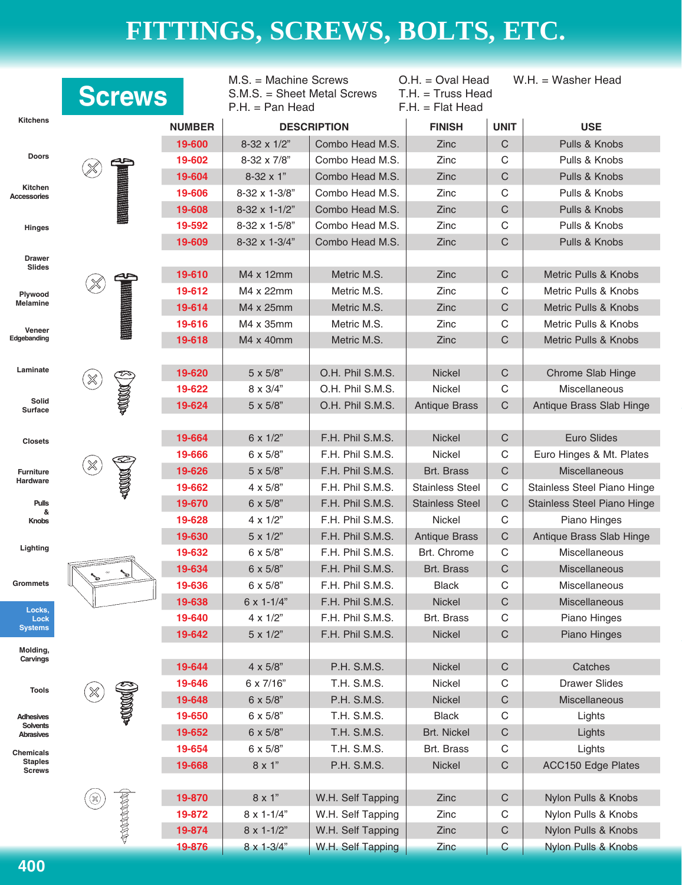|                                 | <b>Screws</b>            |                                            | $M.S. = Machine$ Screws<br>S.M.S. = Sheet Metal Screws<br>$P.H. = Pan Head$ |                                    | $O.H. = Oval Head$<br>$T.H. = Truss Head$<br>$F.H. = Flat Head$ |                      | $W.H. = Washer Head$           |
|---------------------------------|--------------------------|--------------------------------------------|-----------------------------------------------------------------------------|------------------------------------|-----------------------------------------------------------------|----------------------|--------------------------------|
| <b>Kitchens</b>                 |                          | <b>NUMBER</b>                              |                                                                             | <b>DESCRIPTION</b>                 | <b>FINISH</b>                                                   | <b>UNIT</b>          | <b>USE</b>                     |
|                                 |                          | 19-600                                     | 8-32 x 1/2"                                                                 | Combo Head M.S.                    | Zinc                                                            | $\mathsf C$          | Pulls & Knobs                  |
| <b>Doors</b>                    |                          | 19-602                                     | 8-32 x 7/8"                                                                 | Combo Head M.S.                    | Zinc                                                            | C                    | Pulls & Knobs                  |
| Kitchen                         |                          | 19-604                                     | 8-32 x 1"                                                                   | Combo Head M.S.                    | Zinc                                                            | $\mathsf C$          | Pulls & Knobs                  |
| Accessories                     |                          | 19-606                                     | $8-32 \times 1-3/8$ "                                                       | Combo Head M.S.                    | Zinc                                                            | $\mathsf C$          | Pulls & Knobs                  |
|                                 |                          | 19-608                                     | 8-32 x 1-1/2"                                                               | Combo Head M.S.                    | Zinc                                                            | $\mathsf C$          | Pulls & Knobs                  |
| Hinges                          |                          | 19-592                                     | 8-32 x 1-5/8"                                                               | Combo Head M.S.                    | Zinc                                                            | $\mathsf C$          | Pulls & Knobs                  |
| <b>Drawer</b>                   |                          | 19-609                                     | 8-32 x 1-3/4"                                                               | Combo Head M.S.                    | Zinc                                                            | $\mathsf{C}$         | Pulls & Knobs                  |
| <b>Slides</b>                   |                          | 19-610                                     | M4 x 12mm                                                                   | Metric M.S.                        | Zinc                                                            | $\mathsf C$          | Metric Pulls & Knobs           |
| Plywood                         |                          | 19-612                                     | M4 x 22mm                                                                   | $\mathsf C$<br>Metric M.S.<br>Zinc |                                                                 | Metric Pulls & Knobs |                                |
| <b>Melamine</b>                 |                          | 19-614                                     | M4 x 25mm                                                                   | Metric M.S.                        | Zinc                                                            | $\mathsf{C}$         | Metric Pulls & Knobs           |
| Veneer                          |                          | 19-616                                     | M4 x 35mm                                                                   | Metric M.S.                        | Zinc                                                            | C                    | Metric Pulls & Knobs           |
| Edgebanding                     |                          | 19-618<br>M4 x 40mm<br>Metric M.S.<br>Zinc |                                                                             |                                    |                                                                 | $\mathsf C$          | Metric Pulls & Knobs           |
| Laminate                        |                          | 19-620                                     | $5 \times 5/8"$                                                             | O.H. Phil S.M.S.                   | Nickel                                                          | $\mathsf C$          | Chrome Slab Hinge              |
|                                 | ℅                        | 19-622                                     | 8 x 3/4"                                                                    | O.H. Phil S.M.S.                   | Nickel                                                          | C                    | Miscellaneous                  |
| Solid<br>Surface                |                          | 19-624                                     | 5 x 5/8"                                                                    | O.H. Phil S.M.S.                   | <b>Antique Brass</b>                                            | $\mathsf{C}$         | Antique Brass Slab Hinge       |
|                                 |                          |                                            |                                                                             |                                    |                                                                 |                      |                                |
| <b>Closets</b>                  |                          | 19-664                                     | 6 x 1/2"                                                                    | F.H. Phil S.M.S.                   | Nickel                                                          | $\mathsf C$          | Euro Slides                    |
|                                 |                          | 19-666                                     | $6 \times 5/8$ "                                                            | F.H. Phil S.M.S.                   | Nickel                                                          | C                    | Euro Hinges & Mt. Plates       |
| <b>Furniture</b>                | ℅                        | 19-626                                     | $5 \times 5/8"$                                                             | F.H. Phil S.M.S.                   | Brt. Brass                                                      | $\mathsf C$          | Miscellaneous                  |
| Hardware                        |                          | 19-662                                     | $4 \times 5/8$ "                                                            | F.H. Phil S.M.S.                   | <b>Stainless Steel</b>                                          | $\mathbf C$          | Stainless Steel Piano Hinge    |
| <b>Pulls</b><br>&               |                          | 19-670                                     | 6 x 5/8"                                                                    | F.H. Phil S.M.S.                   | <b>Stainless Steel</b>                                          | $\mathsf C$          | Stainless Steel Piano Hinge    |
| <b>Knobs</b>                    |                          | 19-628                                     | $4 \times 1/2$ "                                                            | F.H. Phil S.M.S.                   | <b>Nickel</b>                                                   | $\mathbf C$          | Piano Hinges                   |
|                                 |                          | 19-630                                     | $5 \times 1/2"$                                                             | F.H. Phil S.M.S.                   | <b>Antique Brass</b>                                            | $\mathsf C$          | Antique Brass Slab Hinge       |
| Lighting                        |                          | 19-632                                     | $6 \times 5/8$ "                                                            | F.H. Phil S.M.S.                   | Brt. Chrome                                                     | $\mathbf C$          | Miscellaneous                  |
|                                 |                          | 19-634                                     | $6 \times 5/8$ "                                                            | F.H. Phil S.M.S.                   | Brt. Brass                                                      | $\mathsf C$          | Miscellaneous                  |
| Grommets                        |                          | 19-636                                     | 6 x 5/8"                                                                    | F.H. Phil S.M.S.                   | <b>Black</b>                                                    | C                    | Miscellaneous                  |
| Locks,                          |                          | 19-638                                     | $6 \times 1 - 1/4"$                                                         | F.H. Phil S.M.S.                   | Nickel                                                          | C                    | Miscellaneous                  |
| Lock<br><b>Systems</b>          |                          | 19-640                                     | $4 \times 1/2$ "                                                            | F.H. Phil S.M.S.                   | Brt. Brass                                                      | C                    | Piano Hinges                   |
| Molding,                        |                          | 19-642                                     | $5 \times 1/2"$                                                             | F.H. Phil S.M.S.                   | Nickel                                                          | $\mathsf C$          | Piano Hinges                   |
| Carvings                        |                          | 19-644                                     | $4 \times 5/8"$                                                             | P.H. S.M.S.                        | Nickel                                                          | $\mathsf C$          | Catches                        |
| <b>Tools</b>                    |                          | 19-646                                     | 6 x 7/16"                                                                   | T.H. S.M.S.                        | Nickel                                                          | C                    | <b>Drawer Slides</b>           |
|                                 | ℅<br>400000              | 19-648                                     | 6 x 5/8"                                                                    | P.H. S.M.S.                        | Nickel                                                          | $\mathbf C$          | Miscellaneous                  |
| Adhesives                       |                          | 19-650                                     | $6 \times 5/8$ "                                                            | T.H. S.M.S.                        | <b>Black</b>                                                    | C                    | Lights                         |
| Solvents<br><b>Abrasives</b>    |                          | 19-652                                     | $6 \times 5/8"$                                                             | T.H. S.M.S.                        | Brt. Nickel                                                     | $\mathsf C$          | Lights                         |
| Chemicals                       |                          | 19-654                                     | 6 x 5/8"                                                                    | T.H. S.M.S.                        | Brt. Brass                                                      | C                    | Lights                         |
| <b>Staples</b><br><b>Screws</b> |                          | 19-668                                     | 8 x 1"                                                                      | P.H. S.M.S.                        | Nickel                                                          | $\mathsf C$          | <b>ACC150 Edge Plates</b>      |
|                                 | ❀                        | 19-870                                     | $8\times1"$                                                                 | W.H. Self Tapping                  | Zinc                                                            | $\mathsf C$          | Nylon Pulls & Knobs            |
|                                 |                          | 19-872                                     | $8 \times 1 - 1/4$ "                                                        | W.H. Self Tapping                  | Zinc                                                            | C                    | Nylon Pulls & Knobs            |
|                                 | <b>PERSONAL PROPERTY</b> | 19-874                                     | $8 \times 1 - 1/2"$                                                         | W.H. Self Tapping                  | Zinc                                                            | $\mathsf C$          | Nylon Pulls & Knobs            |
|                                 |                          | 19-876                                     | $8 \times 1 - \frac{3}{4}$                                                  | W.H. Self Tapping                  | Zinc                                                            | $\mathsf C$          | <b>Nylon Pulls &amp; Knobs</b> |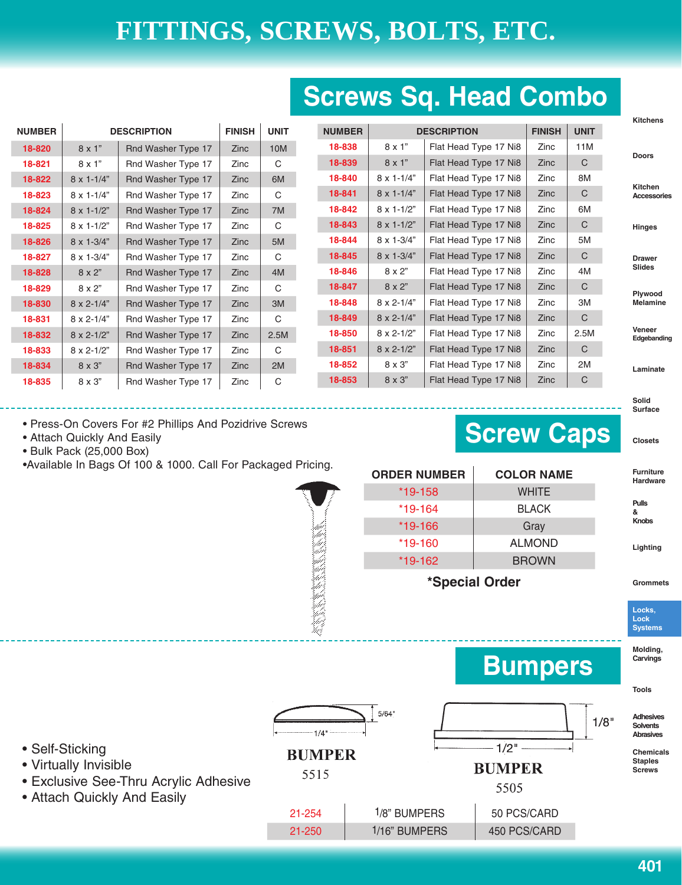## **Screws Sq. Head Combo**

|               |                            |                    |               |             |               |                                     |                       |             |              | <b>Kitchens</b>        |
|---------------|----------------------------|--------------------|---------------|-------------|---------------|-------------------------------------|-----------------------|-------------|--------------|------------------------|
| <b>NUMBER</b> |                            | <b>DESCRIPTION</b> | <b>FINISH</b> | <b>UNIT</b> | <b>NUMBER</b> | <b>FINISH</b><br><b>DESCRIPTION</b> |                       | <b>UNIT</b> |              |                        |
| 18-820        | $8 \times 1"$              | Rnd Washer Type 17 | Zinc          | 10M         | 18-838        | $8 \times 1"$                       | Flat Head Type 17 Ni8 | Zinc        | 11M          |                        |
| 18-821        | $8 \times 1"$              | Rnd Washer Type 17 | Zinc          | C           | 18-839        | $8 \times 1"$                       | Flat Head Type 17 Ni8 | <b>Zinc</b> | $\mathsf{C}$ | <b>Doors</b>           |
| 18-822        | $8 \times 1 - 1/4$ "       | Rnd Washer Type 17 | Zinc          | 6M          | 18-840        | $8 \times 1 - 1/4$ "                | Flat Head Type 17 Ni8 | Zinc        | 8M           |                        |
| 18-823        | $8 \times 1 - 1/4$ "       | Rnd Washer Type 17 | Zinc          | С           | 18-841        | $8 \times 1 - 1/4$ "                | Flat Head Type 17 Ni8 | Zinc        | C            | Kitchen<br>Accessories |
| 18-824        | $8 \times 1 - 1/2$ "       | Rnd Washer Type 17 | Zinc          | 7M          | 18-842        | $8 \times 1 - 1/2$ "                | Flat Head Type 17 Ni8 | Zinc        | 6M           |                        |
| 18-825        | $8 \times 1 - 1/2$ "       | Rnd Washer Type 17 | Zinc          | C           | 18-843        | $8 \times 1 - 1/2$ "                | Flat Head Type 17 Ni8 | Zinc        | $\mathsf{C}$ | Hinges                 |
| 18-826        | $8 \times 1 - \frac{3}{4}$ | Rnd Washer Type 17 | Zinc          | 5M          | 18-844        | 8 x 1-3/4"                          | Flat Head Type 17 Ni8 | Zinc        | 5M           |                        |
| 18-827        | $8 \times 1 - \frac{3}{4}$ | Rnd Washer Type 17 | Zinc          | C           | 18-845        | 8 x 1-3/4"                          | Flat Head Type 17 Ni8 | Zinc        | $\mathsf{C}$ | <b>Drawer</b>          |
| 18-828        | $8 \times 2$ "             | Rnd Washer Type 17 | Zinc          | 4M          | 18-846        | 8 x 2"                              | Flat Head Type 17 Ni8 | Zinc        | 4M           | <b>Slides</b>          |
| 18-829        | $8 \times 2"$              | Rnd Washer Type 17 | Zinc          | C           | 18-847        | $8 \times 2"$                       | Flat Head Type 17 Ni8 | Zinc        | C            | Plywood                |
| 18-830        | $8 \times 2 - 1/4$ "       | Rnd Washer Type 17 | Zinc          | 3M          | 18-848        | $8 \times 2 - 1/4$ "                | Flat Head Type 17 Ni8 | Zinc        | ЗM           | <b>Melamine</b>        |
| 18-831        | $8 \times 2 - 1/4$ "       | Rnd Washer Type 17 | Zinc          | C           | 18-849        | $8 \times 2 - 1/4$ "                | Flat Head Type 17 Ni8 | Zinc        | $\mathsf{C}$ |                        |
| 18-832        | $8 \times 2 - 1/2$ "       | Rnd Washer Type 17 | Zinc          | 2.5M        | 18-850        | $8 \times 2 - 1/2$ "                | Flat Head Type 17 Ni8 | Zinc        | 2.5M         | Veneer<br>Edgebanding  |
| 18-833        | $8 \times 2 - 1/2$ "       | Rnd Washer Type 17 | Zinc          | С           | 18-851        | $8 \times 2 - 1/2$ "                | Flat Head Type 17 Ni8 | Zinc        | $\mathsf{C}$ |                        |
| 18-834        | $8 \times 3"$              | Rnd Washer Type 17 | Zinc          | 2M          | 18-852        | 8 x 3"                              | Flat Head Type 17 Ni8 | Zinc        | 2M           | Laminate               |
| 18-835        | 8 x 3"                     | Rnd Washer Type 17 | Zinc          | С           | 18-853        | $8 \times 3"$                       | Flat Head Type 17 Ni8 | Zinc        | C            |                        |
|               |                            |                    |               |             |               |                                     |                       |             |              |                        |

• Press-On Covers For #2 Phillips And Pozidrive Screws

- Attach Quickly And Easily
- Bulk Pack (25,000 Box)

•Available In Bags Of 100 & 1000. Call For Packaged Pricing.

| <b>ORDER NUMBER</b> | <b>COLOR NAME</b> |
|---------------------|-------------------|
| *19-158             | <b>WHITE</b>      |
| *19-164             | <b>BLACK</b>      |
| *19-166             | Gray              |
| $*19-160$           | <b>ALMOND</b>     |
| *19-162             | <b>BROWN</b>      |
|                     |                   |

**Screw Caps**

**Bumpers**

 $1/2$ <sup>n</sup>

**BUMPER** 

5505

**\*Special Order**

21-254 1/8" BUMPERS 50 PCS/CARD 21-250 | 1/16" BUMPERS | 450 PCS/CARD

 $5/64"$ 

 $1/4$ 

**BUMPER** 

5515

**Solid Surface**

**Closets**

**Furniture Hardware**

**Pulls**

**& Knobs**

**Lighting**

**Grommets**

**Locks, Lock Systems**

**Molding, Carvings**

**Tools**

**Adhesives Solvents Abrasives**

 $1/8"$ 

**Chemicals Staples Screws**

- Self-Sticking
- Virtually Invisible
- Exclusive See-Thru Acrylic Adhesive
- Attach Quickly And Easily

**401**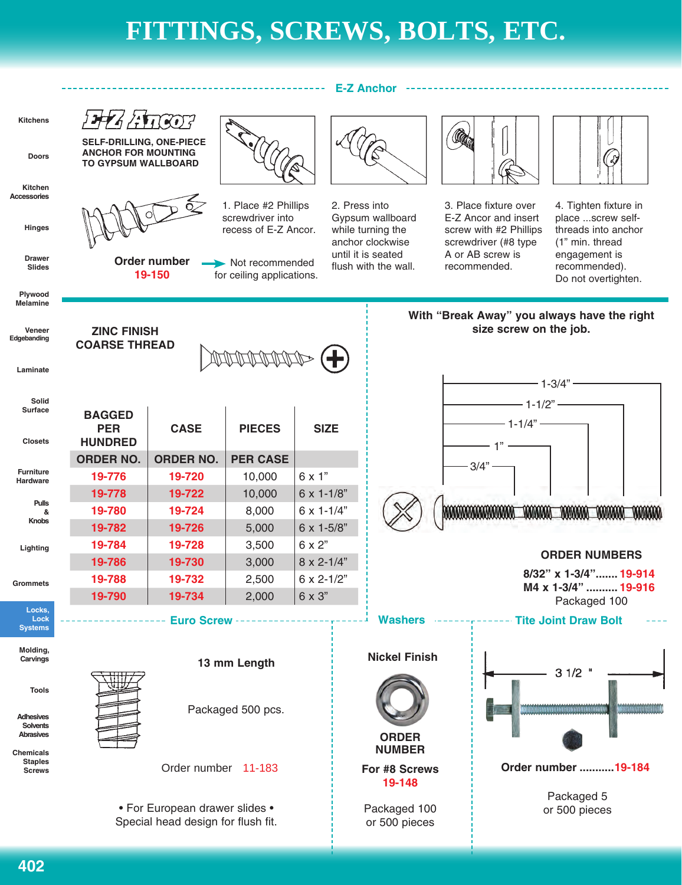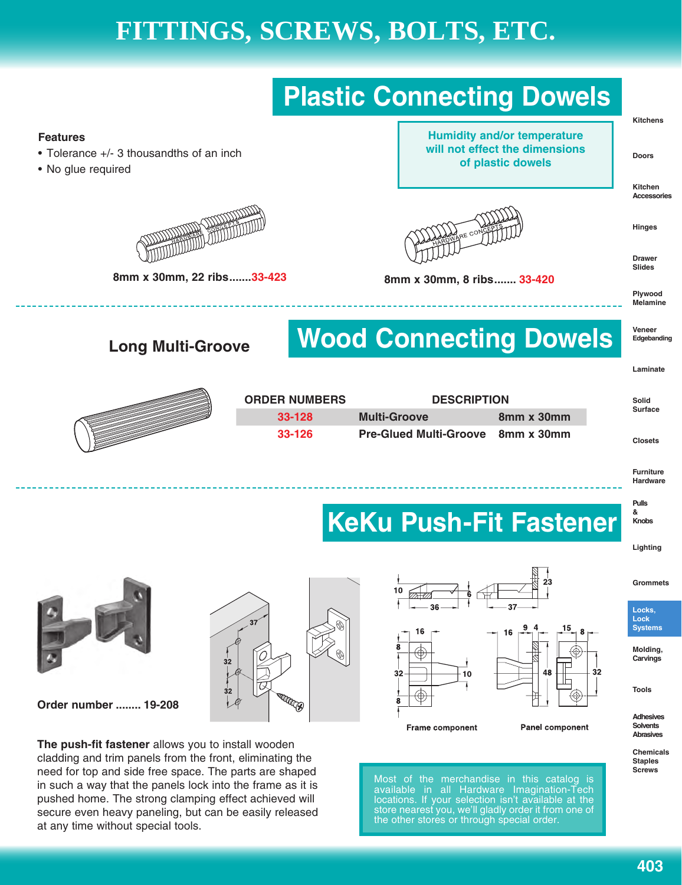

pushed home. The strong clamping effect achieved will secure even heavy paneling, but can be easily released

at any time without special tools.

available in all Hardware Imagination-Tech locations. If your selection isn't available at the store nearest you, we'll gladly order it from one of the other stores or through special order.